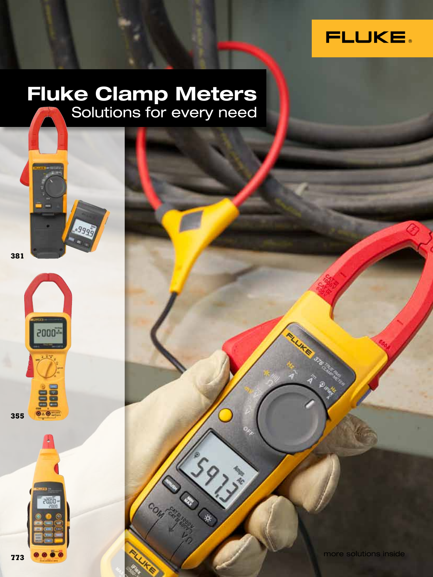

### **Fluke Clamp Meters** Solutions for every need

**381**



88

 $\overline{\odot}$   $\overline{\odot}$   $\overline{\odot}$ 

**355**



**IKE** 326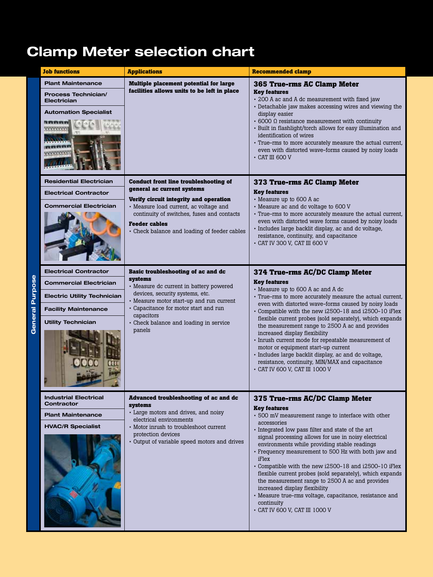# **Clamp Meter selection chart**

|                        | <b>Job functions</b>                                                                                         | <b>Applications</b>                                                                                                                                          | <b>Recommended clamp</b>                                                                                                                                                                                                                                                                                                                                                                                                                                                                   |  |  |  |  |
|------------------------|--------------------------------------------------------------------------------------------------------------|--------------------------------------------------------------------------------------------------------------------------------------------------------------|--------------------------------------------------------------------------------------------------------------------------------------------------------------------------------------------------------------------------------------------------------------------------------------------------------------------------------------------------------------------------------------------------------------------------------------------------------------------------------------------|--|--|--|--|
|                        | <b>Plant Maintenance</b><br><b>Process Technician/</b><br><b>Electrician</b><br><b>Automation Specialist</b> | Multiple placement potential for large<br>facilities allows units to be left in place                                                                        | <b>365 True-rms AC Clamp Meter</b><br><b>Key features</b><br>- 200 A ac and A dc measurement with fixed jaw<br>- Detachable jaw makes accessing wires and viewing the<br>display easier<br>$\cdot$ 6000 $\Omega$ resistance measurement with continuity<br>· Built in flashlight/torch allows for easy illumination and<br>identification of wires<br>· True-rms to more accurately measure the actual current,<br>even with distorted wave-forms caused by noisy loads<br>- CAT III 600 V |  |  |  |  |
|                        | <b>Residential Electrician</b>                                                                               | <b>Conduct front line troubleshooting of</b>                                                                                                                 | 373 True-rms AC Clamp Meter                                                                                                                                                                                                                                                                                                                                                                                                                                                                |  |  |  |  |
|                        | <b>Electrical Contractor</b>                                                                                 | general ac current systems<br>Verify circuit integrity and operation                                                                                         | <b>Key features</b><br>• Measure up to 600 A ac                                                                                                                                                                                                                                                                                                                                                                                                                                            |  |  |  |  |
|                        | <b>Commercial Electrician</b>                                                                                | • Measure load current, ac voltage and<br>continuity of switches, fuses and contacts<br><b>Feeder cables</b><br>• Check balance and loading of feeder cables | - Measure ac and dc voltage to 600 V<br>· True-rms to more accurately measure the actual current,<br>even with distorted wave forms caused by noisy loads<br>· Includes large backlit display, ac and dc voltage,<br>resistance, continuity, and capacitance<br>• CAT IV 300 V, CAT III 600 V                                                                                                                                                                                              |  |  |  |  |
|                        | <b>Electrical Contractor</b>                                                                                 | Basic troubleshooting of ac and dc<br>systems                                                                                                                | 374 True-rms AC/DC Clamp Meter                                                                                                                                                                                                                                                                                                                                                                                                                                                             |  |  |  |  |
|                        | <b>Commercial Electrician</b>                                                                                | • Measure dc current in battery powered                                                                                                                      | <b>Key features</b><br>• Measure up to 600 A ac and A dc                                                                                                                                                                                                                                                                                                                                                                                                                                   |  |  |  |  |
|                        | <b>Electric Utility Technician</b>                                                                           | devices, security systems, etc.<br>• Measure motor start-up and run current                                                                                  | · True-rms to more accurately measure the actual current,<br>even with distorted wave-forms caused by noisy loads<br>• Compatible with the new i2500-18 and i2500-10 iFlex                                                                                                                                                                                                                                                                                                                 |  |  |  |  |
|                        | <b>Facility Maintenance</b>                                                                                  | - Capacitance for motor start and run<br>capacitors                                                                                                          |                                                                                                                                                                                                                                                                                                                                                                                                                                                                                            |  |  |  |  |
| <b>General Purpose</b> | <b>Utility Technician</b>                                                                                    | - Check balance and loading in service<br>panels                                                                                                             | flexible current probes (sold separately), which expands<br>the measurement range to 2500 A ac and provides<br>increased display flexibility<br>· Inrush current mode for repeatable measurement of<br>motor or equipment start-up current<br>· Includes large backlit display, ac and dc voltage,<br>resistance, continuity, MIN/MAX and capacitance<br>- CAT IV 600 V, CAT III 1000 V                                                                                                    |  |  |  |  |
|                        | <b>Industrial Electrical</b><br>Contractor                                                                   | Advanced troubleshooting of ac and dc<br>systems                                                                                                             | 375 True-rms AC/DC Clamp Meter                                                                                                                                                                                                                                                                                                                                                                                                                                                             |  |  |  |  |
|                        | <b>Plant Maintenance</b>                                                                                     | • Large motors and drives, and noisy<br>electrical environments                                                                                              | <b>Key features</b><br>· 500 mV measurement range to interface with other                                                                                                                                                                                                                                                                                                                                                                                                                  |  |  |  |  |
|                        | <b>HVAC/R Specialist</b>                                                                                     | • Motor inrush to troubleshoot current                                                                                                                       | accessories<br>· Integrated low pass filter and state of the art                                                                                                                                                                                                                                                                                                                                                                                                                           |  |  |  |  |
|                        |                                                                                                              | protection devices<br>- Output of variable speed motors and drives                                                                                           | signal processing allows for use in noisy electrical<br>environments while providing stable readings<br>- Frequency measurement to 500 Hz with both jaw and<br>iFlex<br>• Compatible with the new i2500-18 and i2500-10 iFlex<br>flexible current probes (sold separately), which expands<br>the measurement range to 2500 A ac and provides<br>increased display flexibility<br>• Measure true-rms voltage, capacitance, resistance and<br>continuity<br>- CAT IV 600 V, CAT III 1000 V   |  |  |  |  |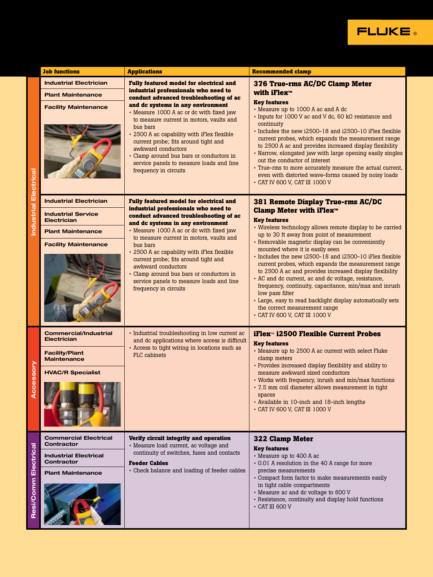

|                          | <b>Job functions</b>                                                                                                                        | <b>Applications</b>                                                                                                                                                                                                                                                                                                                                                                                                                                                                                    | <b>Recommended clamp</b>                                                                                                                                                                                                                                                                                                                                                                                                                                                                                                                                                                                                                                                                                                                       |
|--------------------------|---------------------------------------------------------------------------------------------------------------------------------------------|--------------------------------------------------------------------------------------------------------------------------------------------------------------------------------------------------------------------------------------------------------------------------------------------------------------------------------------------------------------------------------------------------------------------------------------------------------------------------------------------------------|------------------------------------------------------------------------------------------------------------------------------------------------------------------------------------------------------------------------------------------------------------------------------------------------------------------------------------------------------------------------------------------------------------------------------------------------------------------------------------------------------------------------------------------------------------------------------------------------------------------------------------------------------------------------------------------------------------------------------------------------|
|                          | <b>Industrial Electrician</b><br><b>Plant Maintenance</b><br><b>Facility Maintenance</b>                                                    | <b>Fully featured model for electrical and</b><br>industrial professionals who need to<br>conduct advanced troubleshooting of ac<br>and dc systems in any environment<br>- Measure 1000 A ac or dc with fixed jaw<br>to measure current in motors, vaults and<br>bus bars<br>- 2500 A ac capability with iFlex flexible<br>current probe; fits around tight and<br>awkward conductors<br>• Clamp around bus bars or conductors in<br>service panels to measure loads and line<br>frequency in circuits | 376 True-rms AC/DC Clamp Meter<br>with iFlex™<br><b>Key features</b><br>• Measure up to 1000 A ac and A dc<br>$\cdot$ Inputs for 1000 V ac and V dc, 60 kQ resistance and<br>continuity<br>Includes the new i2500-18 and i2500-10 if lex flexible<br>current probes, which expands the measurement range<br>to 2500 A ac and provides increased display flexibility<br>• Narrow, elongated jaw with large opening easily singles<br>out the conductor of interest<br>- True-rms to more accurately measure the actual current.<br>even with distorted wave-forms caused by noisy loads<br>• CAT IV 600 V, CAT III 1000 V                                                                                                                       |
| ndustrial Electrica      | <b>Industrial Electrician</b><br><b>Industrial Service</b><br><b>Electrician</b><br><b>Plant Maintenance</b><br><b>Facility Maintenance</b> | <b>Fully featured model for electrical and</b><br>industrial professionals who need to<br>conduct advanced troubleshooting of ac<br>and dc systems in any environment<br>- Measure 1000 A ac or dc with fixed jaw<br>to measure current in motors, vaults and<br>bus bars<br>- 2500 A ac capability with iFlex flexible<br>current probe; fits around tight and<br>awkward conductors<br>• Clamp around bus bars or conductors in<br>service panels to measure loads and line<br>frequency in circuits | 381 Remote Display True-rms AC/DC<br><b>Clamp Meter with iFlex™</b><br><b>Key features</b><br>• Wireless technology allows remote display to be carried<br>up to 30 ft away from point of measurement<br>• Removable magnetic display can be conveniently<br>mounted where it is easily seen<br>- Includes the new i2500-18 and i2500-10 iFlex flexible<br>current probes, which expands the measurement range<br>to 2500 A ac and provides increased display flexibility<br>· AC and dc current, ac and dc voltage, resistance,<br>frequency, continuity, capacitance, min/max and inrush<br>low pass filter<br>- Large, easy to read backlight display automatically sets<br>the correct measurement range<br>- CAT IV 600 V, CAT III 1000 V |
| <b>Sessory</b><br>ပ<br>∢ | <b>Commercial/Industrial</b><br><b>Electrician</b><br><b>Facility/Plant</b><br><b>Maintenance</b><br><b>HVAC/R Specialist</b>               | - Industrial troubleshooting in low current ac<br>and dc applications where access is difficult<br>- Access to tight wiring in locations such as<br>PLC cabinets                                                                                                                                                                                                                                                                                                                                       | iFlex™ i2500 Flexible Current Probes<br><b>Key features</b><br>• Measure up to 2500 A ac current with select Fluke<br>clamp meters<br>- Provides increased display flexibility and ability to<br>measure awkward sized conductors<br>• Works with frequency, inrush and min/max functions<br>- 7.5 mm coil diameter allows measurement in tight<br>spaces<br>- Available in 10-inch and 18-inch lengths<br>• CAT IV 600 V, CAT III 1000 V                                                                                                                                                                                                                                                                                                      |
| Electrical<br>Resi/Comm  | <b>Commercial Electrical</b><br>Contractor<br><b>Industrial Electrical</b><br>Contractor<br><b>Plant Maintenance</b>                        | Verify circuit integrity and operation<br>• Measure load current, ac voltage and<br>continuity of switches, fuses and contacts<br><b>Feeder Cables</b><br>- Check balance and loading of feeder cables                                                                                                                                                                                                                                                                                                 | <b>322 Clamp Meter</b><br><b>Key features</b><br>• Measure up to 400 A ac<br>• 0.01 A resolution in the 40 A range for more<br>precise measurements<br>- Compact form factor to make measurements easily<br>in tight cable compartments<br>- Measure ac and dc voltage to 600 V<br>- Resistance, continuity and display hold functions<br>- CAT III 600 V                                                                                                                                                                                                                                                                                                                                                                                      |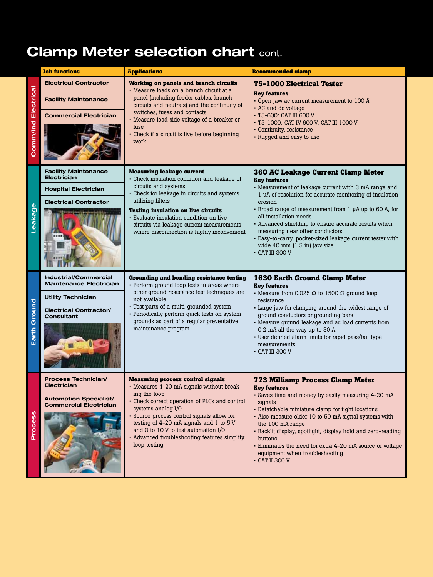# **Clamp Meter selection chart cont.**

|                            | <b>Job functions</b>                                                                                                                       | <b>Applications</b>                                                                                                                                                                                                                                                                                                                                                           | <b>Recommended clamp</b>                                                                                                                                                                                                                                                                                                                                                                                                                                                                             |
|----------------------------|--------------------------------------------------------------------------------------------------------------------------------------------|-------------------------------------------------------------------------------------------------------------------------------------------------------------------------------------------------------------------------------------------------------------------------------------------------------------------------------------------------------------------------------|------------------------------------------------------------------------------------------------------------------------------------------------------------------------------------------------------------------------------------------------------------------------------------------------------------------------------------------------------------------------------------------------------------------------------------------------------------------------------------------------------|
| <b>Comm/Ind Electrical</b> | <b>Electrical Contractor</b><br><b>Facility Maintenance</b><br><b>Commercial Electrician</b>                                               | <b>Working on panels and branch circuits</b><br>• Measure loads on a branch circuit at a<br>panel (including feeder cables, branch<br>circuits and neutrals) and the continuity of<br>switches, fuses and contacts<br>• Measure load side voltage of a breaker or<br>fuse<br>Check if a circuit is live before beginning<br>work                                              | <b>T5-1000 Electrical Tester</b><br><b>Key features</b><br>· Open jaw ac current measurement to 100 A<br>• AC and dc voltage<br>- T5-600: CAT III 600 V<br>- T5-1000: CAT IV 600 V, CAT III 1000 V<br>• Continuity, resistance<br>• Rugged and easy to use                                                                                                                                                                                                                                           |
| Leakage                    | <b>Facility Maintenance</b><br><b>Electrician</b><br><b>Hospital Electrician</b><br><b>Electrical Contractor</b>                           | <b>Measuring leakage current</b><br>• Check insulation condition and leakage of<br>circuits and systems<br>- Check for leakage in circuits and systems<br>utilizing filters<br><b>Testing insulation on live circuits</b><br>· Evaluate insulation condition on live<br>circuits via leakage current measurements<br>where disconnection is highly inconvenient               | <b>360 AC Leakage Current Clamp Meter</b><br><b>Key features</b><br>• Measurement of leakage current with 3 mA range and<br>1 µA of resolution for accurate monitoring of insulation<br>erosion<br>• Broad range of measurement from 1 µA up to 60 A, for<br>all installation needs<br>• Advanced shielding to ensure accurate results when<br>measuring near other conductors<br>· Easy-to-carry, pocket-sized leakage current tester with<br>wide 40 mm (1.5 in) jaw size<br>$\cdot$ CAT III 300 V |
| Earth Ground               | <b>Industrial/Commercial</b><br><b>Maintenance Electrician</b><br><b>Utility Technician</b><br><b>Electrical Contractor/</b><br>Consultant | <b>Grounding and bonding resistance testing</b><br>• Perform ground loop tests in areas where<br>other ground resistance test techniques are<br>not available<br>- Test parts of a multi-grounded system<br>· Periodically perform quick tests on system<br>grounds as part of a regular preventative<br>maintenance program                                                  | <b>1630 Earth Ground Clamp Meter</b><br><b>Key features</b><br>• Measure from 0.025 $\Omega$ to 1500 $\Omega$ ground loop<br>resistance<br>· Large jaw for clamping around the widest range of<br>ground conductors or grounding bars<br>• Measure ground leakage and ac load currents from<br>0.2 mA all the way up to 30 A<br>· User defined alarm limits for rapid pass/fail type<br>measurements<br>$\cdot$ CAT III 300 V                                                                        |
| Process                    | <b>Process Technician/</b><br><b>Electrician</b><br><b>Automation Specialist/</b><br><b>Commercial Electrician</b>                         | <b>Measuring process control signals</b><br>- Measures 4-20 mA signals without break-<br>ing the loop<br>- Check correct operation of PLCs and control<br>systems analog I/O<br>· Source process control signals allow for<br>testing of 4-20 mA signals and 1 to 5 V<br>and 0 to 10 V to test automation I/O<br>• Advanced troubleshooting features simplify<br>loop testing | <b>773 Milliamp Process Clamp Meter</b><br><b>Key features</b><br>- Saves time and money by easily measuring 4-20 mA<br>signals<br>• Detatchable miniature clamp for tight locations<br>- Also measure older 10 to 50 mA signal systems with<br>the 100 mA range<br>· Backlit display, spotlight, display hold and zero-reading<br>buttons<br>- Eliminates the need for extra 4-20 mA source or voltage<br>equipment when troubleshooting<br>- CAT II 300 V                                          |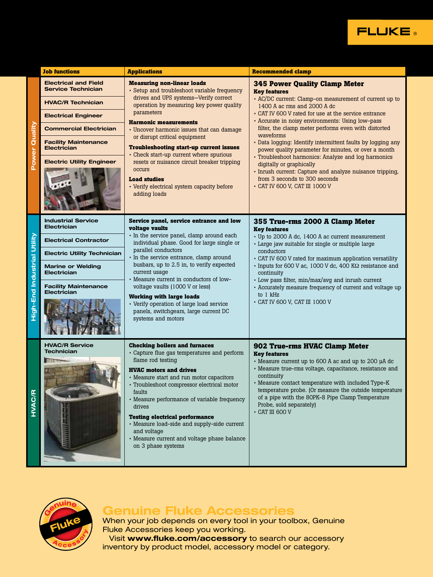

|                             | <b>Job functions</b>                                     | <b>Applications</b>                                                                                                                                                                                                                                                                                                                                                                                                                                                                | <b>Recommended clamp</b>                                                                                                                                                                                                                                                                                                                                                                                        |  |  |  |  |
|-----------------------------|----------------------------------------------------------|------------------------------------------------------------------------------------------------------------------------------------------------------------------------------------------------------------------------------------------------------------------------------------------------------------------------------------------------------------------------------------------------------------------------------------------------------------------------------------|-----------------------------------------------------------------------------------------------------------------------------------------------------------------------------------------------------------------------------------------------------------------------------------------------------------------------------------------------------------------------------------------------------------------|--|--|--|--|
|                             | <b>Electrical and Field</b><br><b>Service Technician</b> | <b>Measuring non-linear loads</b><br>- Setup and troubleshoot variable frequency                                                                                                                                                                                                                                                                                                                                                                                                   | <b>345 Power Quality Clamp Meter</b><br><b>Key features</b>                                                                                                                                                                                                                                                                                                                                                     |  |  |  |  |
|                             | <b>HVAC/R Technician</b>                                 | drives and UPS systems-Verify correct<br>operation by measuring key power quality                                                                                                                                                                                                                                                                                                                                                                                                  | - AC/DC current: Clamp-on measurement of current up to<br>1400 A ac rms and 2000 A dc                                                                                                                                                                                                                                                                                                                           |  |  |  |  |
|                             | <b>Electrical Engineer</b>                               | parameters                                                                                                                                                                                                                                                                                                                                                                                                                                                                         | - CAT IV 600 V rated for use at the service entrance<br>- Accurate in noisy environments: Using low-pass                                                                                                                                                                                                                                                                                                        |  |  |  |  |
| Quality                     | <b>Commercial Electrician</b>                            | <b>Harmonic measurements</b><br>• Uncover harmonic issues that can damage                                                                                                                                                                                                                                                                                                                                                                                                          | filter, the clamp meter performs even with distorted                                                                                                                                                                                                                                                                                                                                                            |  |  |  |  |
| <b>Power</b>                | <b>Facility Maintenance</b><br><b>Electrician</b>        | or disrupt critical equipment<br><b>Troubleshooting start-up current issues</b><br>• Check start-up current where spurious                                                                                                                                                                                                                                                                                                                                                         | waveforms<br>- Data logging: Identify intermittent faults by logging any<br>power quality parameter for minutes, or over a month                                                                                                                                                                                                                                                                                |  |  |  |  |
|                             | <b>Electric Utility Engineer</b>                         | resets or nuisance circuit breaker tripping<br>occurs<br><b>Load studies</b><br>• Verify electrical system capacity before<br>adding loads                                                                                                                                                                                                                                                                                                                                         | • Troubleshoot harmonics: Analyze and log harmonics<br>digitally or graphically<br>· Inrush current: Capture and analyze nuisance tripping,<br>from 3 seconds to 300 seconds<br>- CAT IV 600 V, CAT III 1000 V                                                                                                                                                                                                  |  |  |  |  |
|                             | <b>Industrial Service</b><br><b>Electrician</b>          | Service panel, service entrance and low<br>voltage vaults                                                                                                                                                                                                                                                                                                                                                                                                                          | 355 True-rms 2000 A Clamp Meter<br><b>Key features</b>                                                                                                                                                                                                                                                                                                                                                          |  |  |  |  |
|                             | <b>Electrical Contractor</b>                             | In the service panel, clamp around each<br>individual phase. Good for large single or                                                                                                                                                                                                                                                                                                                                                                                              | • Up to 2000 A dc, 1400 A ac current measurement<br>· Large jaw suitable for single or multiple large                                                                                                                                                                                                                                                                                                           |  |  |  |  |
|                             | <b>Electric Utility Technician</b>                       | parallel conductors<br>· In the service entrance, clamp around                                                                                                                                                                                                                                                                                                                                                                                                                     | conductors<br>• CAT IV 600 V rated for maximum application versatility                                                                                                                                                                                                                                                                                                                                          |  |  |  |  |
|                             | <b>Marine or Welding</b><br><b>Electrician</b>           | busbars, up to 2.5 in, to verify expected<br>current usage<br>- Measure current in conductors of low-                                                                                                                                                                                                                                                                                                                                                                              | · Inputs for 600 V ac, 1000 V dc, 400 KΩ resistance and<br>continuity                                                                                                                                                                                                                                                                                                                                           |  |  |  |  |
| High-End Industrial Utility | <b>Facility Maintenance</b><br><b>Electrician</b>        | voltage vaults (1000 V or less)<br><b>Working with large loads</b><br>• Verify operation of large load service<br>panels, switchgears, large current DC<br>systems and motors                                                                                                                                                                                                                                                                                                      | • Low pass filter, min/max/avg and inrush current<br>- Accurately measure frequency of current and voltage up<br>to 1 kHz<br>- CAT IV 600 V, CAT III 1000 V                                                                                                                                                                                                                                                     |  |  |  |  |
| <b>HVAC/F</b>               | <b>HVAC/R Service</b><br>Technician                      | <b>Checking boilers and furnaces</b><br>• Capture flue gas temperatures and perform<br>flame rod testing<br><b>HVAC motors and drives</b><br>• Measure start and run motor capacitors<br>· Troubleshoot compressor electrical motor<br>faults<br>• Measure performance of variable frequency<br>drives<br><b>Testing electrical performance</b><br>· Measure load-side and supply-side current<br>and voltage<br>• Measure current and voltage phase balance<br>on 3 phase systems | 902 True-rms HVAC Clamp Meter<br><b>Key features</b><br>• Measure current up to 600 A ac and up to 200 µA dc<br>• Measure true-rms voltage, capacitance, resistance and<br>continuity<br>• Measure contact temperature with included Type-K<br>temperature probe. (Or measure the outside temperature<br>of a pipe with the 80PK-8 Pipe Clamp Temperature<br>Probe, sold separately)<br>$\bullet$ CAT III 600 V |  |  |  |  |



#### **Genuine Fluke Accessories**

When your job depends on every tool in your toolbox, Genuine Fluke Accessories keep you working.

Visit **www.fluke.com/accessory** to search our accessory inventory by product model, accessory model or category.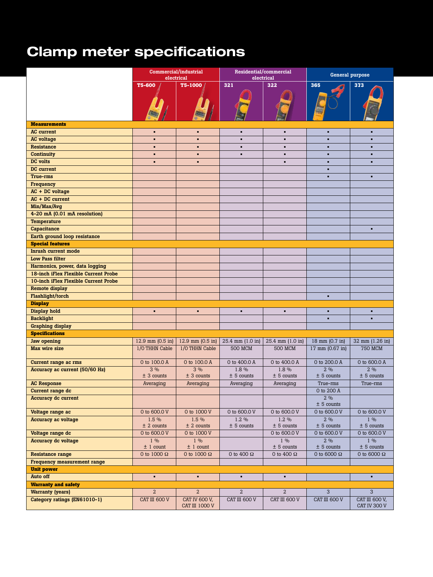# **Clamp meter specifications**

|                                      |                            | Commercial/industrial<br>electrical |                         | Residential/commercial<br>electrical               |                              | General purpose                |
|--------------------------------------|----------------------------|-------------------------------------|-------------------------|----------------------------------------------------|------------------------------|--------------------------------|
|                                      | <b>T5-600</b>              | T5-1000                             | 321                     | 322                                                | 365                          | 373                            |
|                                      |                            |                                     |                         |                                                    |                              |                                |
| <b>Measurements</b>                  |                            |                                     |                         |                                                    |                              |                                |
| <b>AC</b> current                    | $\mathbf{r}$               | $\mathbf{r}$                        | $\mathbf{r}$            | $\blacksquare$                                     | <b>COL</b>                   | $\blacksquare$                 |
| <b>AC</b> voltage                    |                            | $\bullet$                           | $\bullet$               | $\blacksquare$                                     | $\blacksquare$               | $\blacksquare$                 |
| Resistance                           |                            | $\blacksquare$                      | $\blacksquare$          | $\blacksquare$                                     | $\blacksquare$               | ٠.                             |
| Continuity                           | п.                         | $\bullet$                           | $\bullet$               | $\blacksquare$                                     | $\blacksquare$               | $\blacksquare$                 |
| DC volts                             |                            | $\blacksquare$                      |                         | $\blacksquare$                                     | $\blacksquare$               | $\blacksquare$                 |
| DC current                           |                            |                                     |                         |                                                    | $\blacksquare$               |                                |
| True-rms                             |                            |                                     |                         |                                                    | $\blacksquare$               | $\blacksquare$                 |
| Frequency                            |                            |                                     |                         |                                                    |                              |                                |
| AC + DC voltage                      |                            |                                     |                         |                                                    |                              |                                |
| $AC + DC current$                    |                            |                                     |                         |                                                    |                              |                                |
| Min/Max/Avg                          |                            |                                     |                         |                                                    |                              |                                |
| 4-20 mA (0.01 mA resolution)         |                            |                                     |                         |                                                    |                              |                                |
| Temperature                          |                            |                                     |                         |                                                    |                              |                                |
| Capacitance                          |                            |                                     |                         |                                                    |                              | $\bullet$                      |
| Earth ground loop resistance         |                            |                                     |                         |                                                    |                              |                                |
| <b>Special features</b>              |                            |                                     |                         |                                                    |                              |                                |
| Inrush current mode                  |                            |                                     |                         |                                                    |                              |                                |
| <b>Low Pass filter</b>               |                            |                                     |                         |                                                    |                              |                                |
| Harmonics, power, data logging       |                            |                                     |                         |                                                    |                              |                                |
| 18-inch iFlex Flexible Current Probe |                            |                                     |                         |                                                    |                              |                                |
| 10-inch iFlex Flexible Current Probe |                            |                                     |                         |                                                    |                              |                                |
| Remote display                       |                            |                                     |                         |                                                    |                              |                                |
| Flashlight/torch                     |                            |                                     |                         |                                                    | $\blacksquare$               |                                |
| <b>Display</b>                       |                            |                                     |                         |                                                    |                              |                                |
| Display hold                         | $\mathbf{r}$               | $\bullet$                           | $\mathbf{r}$            | $\blacksquare$                                     | <b>A</b>                     | $\blacksquare$                 |
| <b>Backlight</b>                     |                            |                                     |                         |                                                    | $\blacksquare$               | $\blacksquare$                 |
| <b>Graphing display</b>              |                            |                                     |                         |                                                    |                              |                                |
| <b>Specifications</b>                |                            |                                     |                         |                                                    |                              |                                |
| Jaw opening                          | 12.9 mm $(0.5 \text{ in})$ |                                     |                         | 12.9 mm (0.5 in) 25.4 mm (1.0 in) 25.4 mm (1.0 in) |                              | 18 mm (0.7 in) 32 mm (1.26 in) |
| Max wire size                        | 1/0 THHN Cable             | 1/0 THHN Cable                      | <b>500 MCM</b>          | <b>500 MCM</b>                                     | 17 mm (0.67 in)              | <b>750 MCM</b>                 |
|                                      |                            |                                     |                         |                                                    |                              |                                |
| Current range ac rms                 | 0 to 100.0 A               | 0 to 100.0 A                        | 0 to 400.0 A            | 0 to 400.0 A                                       | $0$ to 200.0 A               | 0 to 600.0 A                   |
| Accuracy ac current (50/60 Hz)       | 3%                         | $3\%$                               | 1.8 %                   | 1.8 %                                              | 2%                           | 2 %                            |
|                                      | $±$ 3 counts               | $± 3$ counts                        | $± 5$ counts            | $± 5$ counts                                       | $± 5$ counts                 | $± 5$ counts                   |
| <b>AC Response</b>                   | Averaging                  | Averaging                           | Averaging               | Averaging                                          | True-rms                     | True-rms                       |
| Current range dc                     |                            |                                     |                         |                                                    | 0 to 200 A                   |                                |
| Accuracy dc current                  |                            |                                     |                         |                                                    | $2\%$                        |                                |
| Voltage range ac                     | 0 to 600.0 V               | 0 to 1000 V                         | 0 to 600.0 V            | 0 to 600.0 V                                       | $± 5$ counts<br>0 to 600.0 V | 0 to 600.0 V                   |
|                                      |                            |                                     |                         |                                                    |                              |                                |
| Accuracy ac voltage                  | 1.5 %<br>$±$ 2 counts      | $1.5\%$<br>$±$ 2 counts             | $1.2\%$<br>$± 5$ counts | $1.2\%$<br>$± 5$ counts                            | $2\%$<br>$± 5$ counts        | $1\%$<br>$± 5$ counts          |
| Voltage range dc                     | 0 to 600.0 V               | 0 to 1000 V                         |                         | 0 to 600.0 V                                       | 0 to 600.0 V                 | 0 to 600.0 V                   |
| Accuracy dc voltage                  | $1\%$                      | $1\%$                               |                         | $1\%$                                              | $2\%$                        | $1\%$                          |
|                                      | $\pm$ 1 count              | $\pm$ 1 count                       |                         | ± 5 counts                                         | $± 5$ counts                 | $± 5$ counts                   |
| <b>Resistance range</b>              | 0 to 1000 $\Omega$         | 0 to 1000 $\Omega$                  | 0 to 400 $\Omega$       | 0 to 400 $\Omega$                                  | 0 to 6000 $\Omega$           | 0 to 6000 $\Omega$             |
| <b>Frequency measurement range</b>   |                            |                                     |                         |                                                    |                              |                                |
| Unit power                           |                            |                                     |                         |                                                    |                              |                                |
| Auto off                             | $\mathbf{r}$               | $\blacksquare$                      | $\mathbf{r}$            | $\blacksquare$                                     |                              | <b>A</b>                       |
| <b>Warranty and safety</b>           |                            |                                     |                         |                                                    |                              |                                |
| <b>Warranty (years)</b>              | $2^{\circ}$                | $\overline{a}$                      | $\overline{a}$          | $\overline{a}$                                     | 3 <sup>5</sup>               | $\overline{\mathbf{3}}$        |
| Category ratings (EN61010-1)         | CAT III 600 V              | CAT IV 600 V,                       | CAT III 600 V           | CAT III 600 V                                      | CAT III 600 V                | CAT III 600 V,                 |
|                                      |                            | CAT III 1000 V                      |                         |                                                    |                              | CAT IV 300 V                   |
|                                      |                            |                                     |                         |                                                    |                              |                                |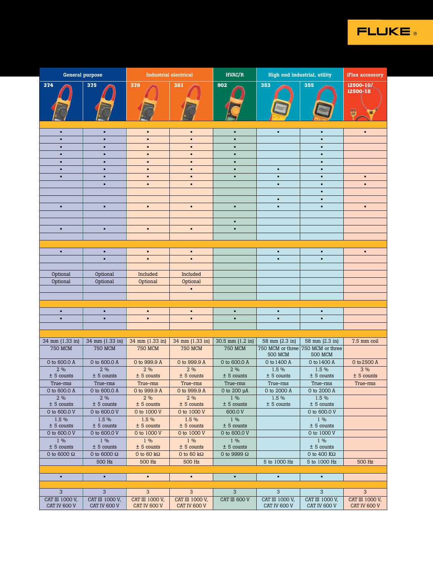

|                                    | <b>General purpose</b>                                                                             |                                   | Industrial electrical              | HVAC/R                               |                                  | High end industrial, utility                        | iFlex accessory         |
|------------------------------------|----------------------------------------------------------------------------------------------------|-----------------------------------|------------------------------------|--------------------------------------|----------------------------------|-----------------------------------------------------|-------------------------|
| 374                                | 375                                                                                                | 376                               | 381                                | 902                                  | 353                              | 355                                                 | i2500-10/<br>i2500-18   |
|                                    |                                                                                                    |                                   |                                    |                                      |                                  |                                                     |                         |
|                                    |                                                                                                    | <b>Report</b>                     | F                                  |                                      |                                  |                                                     | u.<br>O                 |
|                                    |                                                                                                    |                                   |                                    |                                      |                                  |                                                     |                         |
| $\blacksquare$                     | $\sim$                                                                                             | $\blacksquare$                    | <b>COL</b>                         | $\mathbf{r}$                         | $\mathbf{r}$                     | $\sim$                                              | <b>COL</b>              |
| $\blacksquare$                     | $\blacksquare$                                                                                     | $\bullet$                         | $\sim$                             | $\bullet$                            |                                  | $\sim$                                              |                         |
| $\blacksquare$<br>$\blacksquare$   | <b>COL</b><br><b>COL</b>                                                                           | $\blacksquare$<br>$\mathbf{r}$    | <b>COL</b><br>$\sim$               | $\sim$<br><b>COL</b>                 |                                  | $\sim$<br>$\sim$                                    |                         |
| $\blacksquare$                     | <b>COL</b>                                                                                         | $\blacksquare$                    | <b>COL</b>                         | $\sim$                               |                                  | $\mathbf{r}$                                        |                         |
| $\blacksquare$                     | <b>COL</b>                                                                                         | $\blacksquare$                    | $\blacksquare$                     | $\blacksquare$                       | $\mathbf{r}$                     | $\mathbf{r}$                                        |                         |
| $\blacksquare$                     | $\sim$                                                                                             | $\blacksquare$<br>$\blacksquare$  | <b>COL</b><br><b>COL</b>           | <b>COL</b>                           | <b>COL</b><br><b>COL</b>         | $\sim$<br>$\sim$                                    | <b>A</b> 1<br>$\bullet$ |
|                                    |                                                                                                    |                                   |                                    |                                      |                                  | $\sim$                                              |                         |
|                                    |                                                                                                    |                                   |                                    |                                      | $\sim$                           | $\sim$                                              |                         |
| $\blacksquare$                     | <b>COL</b>                                                                                         | $\mathbf{r}$                      | $\sim$                             | $\blacksquare$                       | $\mathbf{r}$                     | $\sim$                                              | $\sim$                  |
|                                    |                                                                                                    |                                   |                                    | $\sim$                               |                                  |                                                     |                         |
| $\blacksquare$                     | <b>COL</b>                                                                                         | $\mathbf{r}$ .                    | $\sim$                             | $\bullet$                            |                                  |                                                     |                         |
|                                    |                                                                                                    |                                   |                                    |                                      |                                  |                                                     |                         |
| $\mathbf{R} \in \mathbb{R}^n$      | <b>COLLEGE</b>                                                                                     | $\sim$                            | <b>COL</b>                         |                                      | <b>A</b> 1                       | $\sim$                                              | $\sim$                  |
|                                    | п.                                                                                                 | $\blacksquare$                    | $\blacksquare$                     |                                      | $\mathbf{r}$                     | $\blacksquare$                                      |                         |
|                                    |                                                                                                    |                                   |                                    |                                      |                                  |                                                     |                         |
| Optional<br>Optional               | Optional<br>Optional                                                                               | Included<br>Optional              | Included<br>Optional               |                                      |                                  |                                                     |                         |
|                                    |                                                                                                    |                                   | $\sim$                             |                                      |                                  |                                                     |                         |
|                                    |                                                                                                    |                                   |                                    |                                      |                                  |                                                     |                         |
|                                    |                                                                                                    |                                   |                                    |                                      |                                  |                                                     |                         |
| $\blacksquare$<br>$\blacksquare$   | $\sim$<br>. .                                                                                      | $\blacksquare$<br>$\blacksquare$  | <b>COL</b><br><b>COL</b>           | $\mathbf{r}$<br>$\blacksquare$       | $\mathbf{r}$<br><b>COL</b>       | $\sim$<br>$\sim$                                    |                         |
|                                    |                                                                                                    |                                   |                                    |                                      |                                  |                                                     |                         |
|                                    |                                                                                                    |                                   |                                    |                                      | $58 \text{ mm} (2.3 \text{ in})$ |                                                     | 7.5 mm coil             |
| <b>750 MCM</b>                     | 34 mm (1.33 in) 34 mm (1.33 in) 34 mm (1.33 in) 34 mm (1.33 in) 36.5 mm (1.2 in)<br><b>750 MCM</b> | <b>750 MCM</b>                    | <b>750 MCM</b>                     | <b>750 MCM</b>                       |                                  | 58 mm (2.3 in)<br>750 MCM or three 750 MCM or three |                         |
|                                    |                                                                                                    |                                   |                                    |                                      | <b>500 MCM</b>                   | <b>500 MCM</b>                                      |                         |
| 0 to 600.0 A<br>2%                 | 0 to 600.0 A<br>2%                                                                                 | 0 to 999.9 A<br>2%                | 0 to 999.9 A<br>2%                 | 0 to 600.0 A<br>2 %                  | 0 to 1400 A<br>1.5 %             | 0 to 1400 A<br>1.5 %                                | 0 to 2500 A<br>3%       |
| $± 5$ counts                       | $± 5$ counts                                                                                       | $± 5$ counts                      | $± 5$ counts                       | $± 5$ counts                         | $± 5$ counts                     | $± 5$ counts                                        | $± 5$ counts            |
| True-rms                           | True-rms                                                                                           | True-rms                          | True-rms                           | True-rms                             | True-rms                         | True-rms                                            | True-rms                |
| 0 to 600.0 A<br>2%                 | 0 to 600.0 A<br>2%                                                                                 | 0 to 999.9 A<br>2%                | 0 to 999.9 A<br>2%                 | 0 to 200 $\mu$ A<br>$1\%$            | 0 to 2000 A<br>$1.5\%$           | 0 to 2000 A<br>$1.5\%$                              |                         |
| $± 5$ counts                       | $± 5$ counts                                                                                       | $± 5$ counts                      | $± 5$ counts                       | $± 5$ counts                         | $± 5$ counts                     | $± 5$ counts                                        |                         |
| 0 to 600.0 V                       | 0 to 600.0 V                                                                                       | 0 to 1000 V                       | 0 to 1000 V                        | 600.0 V                              |                                  | 0 to 600.0 V                                        |                         |
| 1.5 %<br>$± 5$ counts              | 1.5 %<br>$± 5$ counts                                                                              | 1.5 %<br>$± 5$ counts             | 1.5 %<br>$± 5$ counts              | $1\%$<br>$± 5$ counts                |                                  | $1\%$<br>$± 5$ counts                               |                         |
| 0 to 600.0 V                       | 0 to 600.0 V                                                                                       | 0 to 1000 V                       | 0 to 1000 V                        | 0 to 600.0 V                         |                                  | 0 to 1000 V                                         |                         |
| $1\%$                              | $1\%$                                                                                              | $1\%$                             | $1\%$                              | $1\%$                                |                                  | $1\%$                                               |                         |
| $± 5$ counts<br>0 to 6000 $\Omega$ | $± 5$ counts<br>0 to 6000 $\Omega$                                                                 | $± 5$ counts<br>0 to 60 $k\Omega$ | $± 5$ counts<br>0 to 60 k $\Omega$ | $\pm$ 5 counts<br>0 to 9999 $\Omega$ |                                  | $± 5$ counts<br>0 to 400 $\mathrm{K}\Omega$         |                         |
|                                    | 500 Hz                                                                                             | 500 Hz                            | 500 Hz                             |                                      | 5 to 1000 Hz                     | 5 to 1000 Hz                                        | 500 Hz                  |
|                                    |                                                                                                    |                                   |                                    |                                      |                                  |                                                     |                         |
| $\mathbf{r}$ .                     | <b>COL</b>                                                                                         | $\sim$ 10 $\sim$                  | $\mathbf{u}$                       | $\mathbf{r}$                         | $\sim$                           | $\sim$ 10 $\sim$                                    |                         |
| 3 <sup>5</sup>                     | 3 <sup>3</sup>                                                                                     | 3 <sup>3</sup>                    | 3 <sup>1</sup>                     | $\overline{3}$                       | 3 <sup>2</sup>                   | 3 <sup>2</sup>                                      | 3 <sup>1</sup>          |
| CAT III 1000 V,                    | CAT III 1000 V,                                                                                    | CAT III 1000 V,                   | CAT III 1000 V,                    | CAT III 600 V                        | CAT III 1000 V,                  | CAT III 1000 V,                                     | CAT III 1000 V,         |
| CAT IV 600 V                       | CAT IV 600 V                                                                                       | CAT IV 600 V                      | CAT IV 600 V                       |                                      | CAT IV 600 V                     | CAT IV 600 V                                        | CAT IV 600 V            |